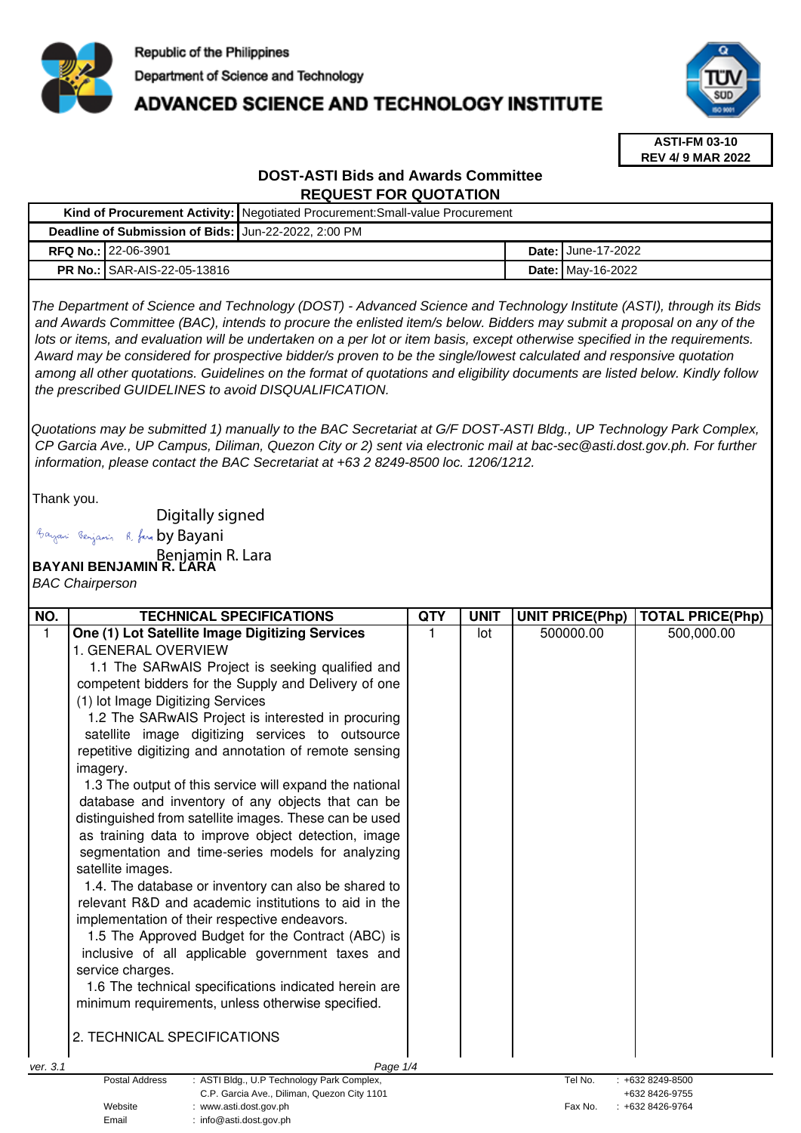

# **ADVANCED SCIENCE AND TECHNOLOGY INSTITUTE**



**ASTI-FM 03-10 REV 4/ 9 MAR 2022**

# **DOST-ASTI Bids and Awards Committee REQUEST FOR QUOTATION**

|                                                      |                                      | Kind of Procurement Activity:   Negotiated Procurement: Small-value Procurement |  |                           |  |  |
|------------------------------------------------------|--------------------------------------|---------------------------------------------------------------------------------|--|---------------------------|--|--|
| Deadline of Submission of Bids: Jun-22-2022, 2:00 PM |                                      |                                                                                 |  |                           |  |  |
|                                                      | <b>RFQ No.:122-06-3901</b>           |                                                                                 |  | <b>Date: June-17-2022</b> |  |  |
|                                                      | <b>PR No.: I</b> SAR-AIS-22-05-13816 |                                                                                 |  | <b>Date: May-16-2022</b>  |  |  |

The Department of Science and Technology (DOST) - Advanced Science and Technology Institute (ASTI), through its Bids and Awards Committee (BAC), intends to procure the enlisted item/s below. Bidders may submit a proposal on any of the lots or items, and evaluation will be undertaken on a per lot or item basis, except otherwise specified in the requirements. Award may be considered for prospective bidder/s proven to be the single/lowest calculated and responsive quotation among all other quotations. Guidelines on the format of quotations and eligibility documents are listed below. Kindly follow the prescribed GUIDELINES to avoid DISQUALIFICATION.

Quotations may be submitted 1) manually to the BAC Secretariat at G/F DOST-ASTI Bldg., UP Technology Park Complex, CP Garcia Ave., UP Campus, Diliman, Quezon City or 2) sent via electronic mail at bac-sec@asti.dost.gov.ph. For further information, please contact the BAC Secretariat at +63 2 8249-8500 loc. 1206/1212.

Thank you.

Digitally signed

Bayani Senjamin R. fara by Bayani

Benjamin R. Lara<br>**BAYANI BENJAMIN R. LARA** 

BAC Chairperson

| NO.                                                                                              | <b>TECHNICAL SPECIFICATIONS</b>                         | QTY | <b>UNIT</b> | <b>UNIT PRICE(Php)</b> | <b>TOTAL PRICE(Php)</b> |
|--------------------------------------------------------------------------------------------------|---------------------------------------------------------|-----|-------------|------------------------|-------------------------|
|                                                                                                  | One (1) Lot Satellite Image Digitizing Services         |     | lot         | 500000.00              | 500,000.00              |
|                                                                                                  | 1. GENERAL OVERVIEW                                     |     |             |                        |                         |
|                                                                                                  | 1.1 The SARwAIS Project is seeking qualified and        |     |             |                        |                         |
|                                                                                                  | competent bidders for the Supply and Delivery of one    |     |             |                        |                         |
|                                                                                                  | (1) lot Image Digitizing Services                       |     |             |                        |                         |
|                                                                                                  | 1.2 The SARwAIS Project is interested in procuring      |     |             |                        |                         |
|                                                                                                  | satellite image digitizing services to outsource        |     |             |                        |                         |
|                                                                                                  | repetitive digitizing and annotation of remote sensing  |     |             |                        |                         |
|                                                                                                  | imagery.                                                |     |             |                        |                         |
|                                                                                                  | 1.3 The output of this service will expand the national |     |             |                        |                         |
|                                                                                                  | database and inventory of any objects that can be       |     |             |                        |                         |
|                                                                                                  | distinguished from satellite images. These can be used  |     |             |                        |                         |
|                                                                                                  | as training data to improve object detection, image     |     |             |                        |                         |
|                                                                                                  | segmentation and time-series models for analyzing       |     |             |                        |                         |
|                                                                                                  | satellite images.                                       |     |             |                        |                         |
|                                                                                                  | 1.4. The database or inventory can also be shared to    |     |             |                        |                         |
|                                                                                                  | relevant R&D and academic institutions to aid in the    |     |             |                        |                         |
|                                                                                                  | implementation of their respective endeavors.           |     |             |                        |                         |
|                                                                                                  | 1.5 The Approved Budget for the Contract (ABC) is       |     |             |                        |                         |
|                                                                                                  | inclusive of all applicable government taxes and        |     |             |                        |                         |
|                                                                                                  | service charges.                                        |     |             |                        |                         |
|                                                                                                  | 1.6 The technical specifications indicated herein are   |     |             |                        |                         |
|                                                                                                  | minimum requirements, unless otherwise specified.       |     |             |                        |                         |
|                                                                                                  |                                                         |     |             |                        |                         |
|                                                                                                  | 2. TECHNICAL SPECIFICATIONS                             |     |             |                        |                         |
| ver. 3.1                                                                                         | Page 1/4                                                |     |             |                        |                         |
| <b>Postal Address</b><br>: ASTI Bldg., U.P Technology Park Complex,<br>Tel No.<br>+632 8249-8500 |                                                         |     |             |                        |                         |
| C.P. Garcia Ave., Diliman, Quezon City 1101                                                      |                                                         |     |             |                        | +632 8426-9755          |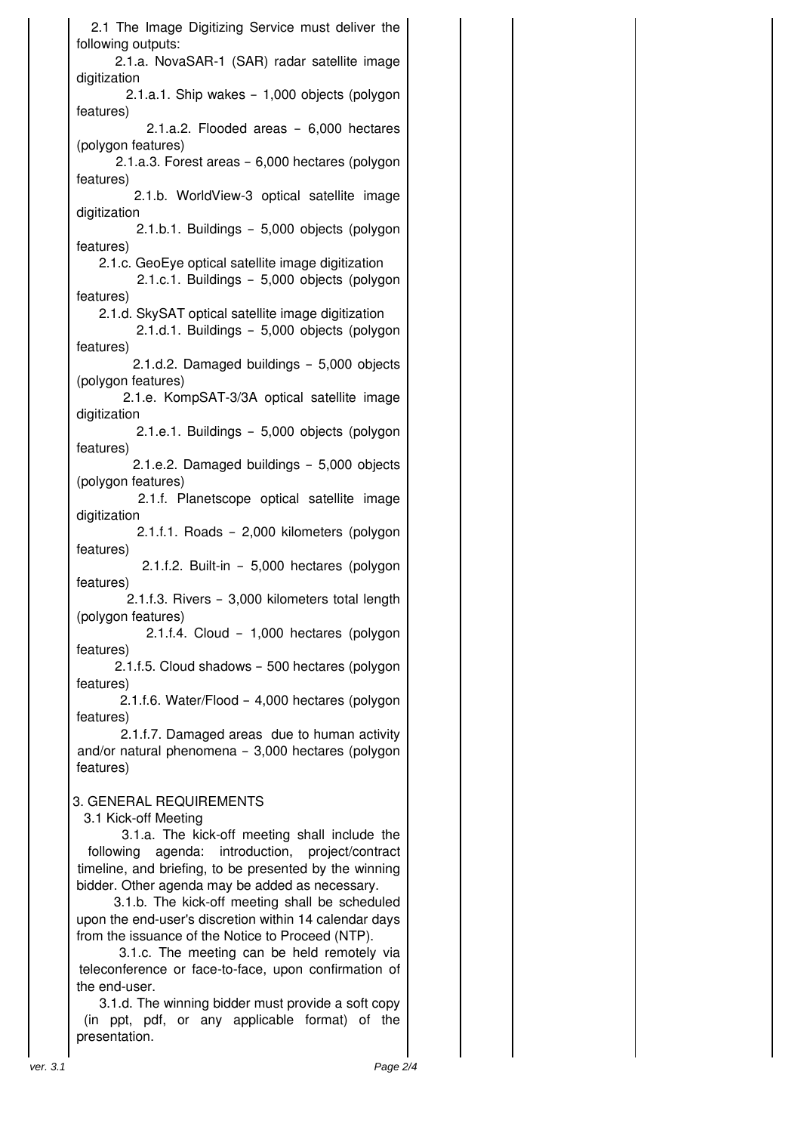2.1 The Image Digitizing Service must deliver the following outputs: 2.1.a. NovaSAR-1 (SAR) radar satellite image digitization 2.1.a.1. Ship wakes – 1,000 objects (polygon features) 2.1.a.2. Flooded areas – 6,000 hectares (polygon features) 2.1.a.3. Forest areas – 6,000 hectares (polygon features) 2.1.b. WorldView-3 optical satellite image digitization 2.1.b.1. Buildings – 5,000 objects (polygon features) 2.1.c. GeoEye optical satellite image digitization 2.1.c.1. Buildings – 5,000 objects (polygon features) 2.1.d. SkySAT optical satellite image digitization 2.1.d.1. Buildings – 5,000 objects (polygon features) 2.1.d.2. Damaged buildings – 5,000 objects (polygon features) 2.1.e. KompSAT-3/3A optical satellite image digitization 2.1.e.1. Buildings – 5,000 objects (polygon features) 2.1.e.2. Damaged buildings – 5,000 objects (polygon features) 2.1.f. Planetscope optical satellite image digitization 2.1.f.1. Roads – 2,000 kilometers (polygon features) 2.1.f.2. Built-in – 5,000 hectares (polygon features) 2.1.f.3. Rivers – 3,000 kilometers total length (polygon features) 2.1.f.4. Cloud – 1,000 hectares (polygon features) 2.1.f.5. Cloud shadows – 500 hectares (polygon features) 2.1.f.6. Water/Flood – 4,000 hectares (polygon features) 2.1.f.7. Damaged areas due to human activity and/or natural phenomena – 3,000 hectares (polygon features) 3. GENERAL REQUIREMENTS 3.1 Kick-off Meeting 3.1.a. The kick-off meeting shall include the following agenda: introduction, project/contract timeline, and briefing, to be presented by the winning bidder. Other agenda may be added as necessary. 3.1.b. The kick-off meeting shall be scheduled upon the end-user's discretion within 14 calendar days

 from the issuance of the Notice to Proceed (NTP). 3.1.c. The meeting can be held remotely via teleconference or face-to-face, upon confirmation of the end-user.

3.1.d. The winning bidder must provide a soft copy (in ppt, pdf, or any applicable format) of the presentation.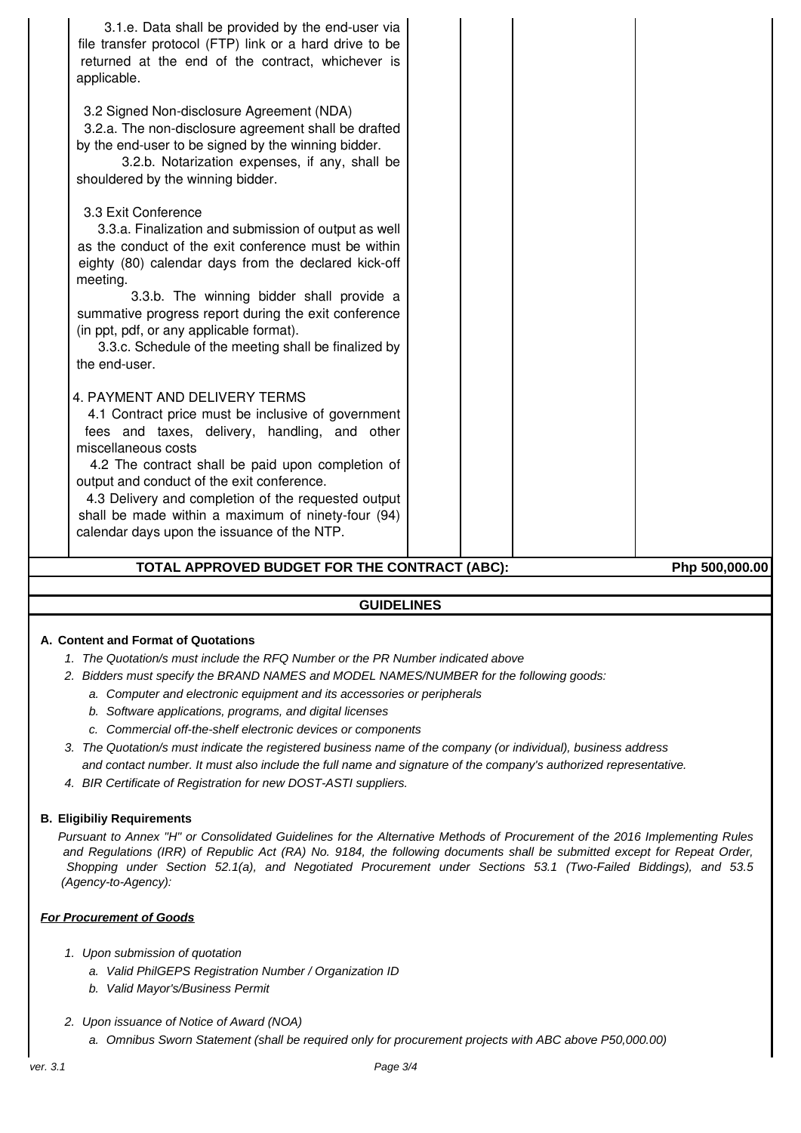| TOTAL APPROVED BUDGET FOR THE CONTRACT (ABC):<br>Php 500,000.00                                                                                                                                                                                                                                                                                                                                                                   |  |  |  |  |  |
|-----------------------------------------------------------------------------------------------------------------------------------------------------------------------------------------------------------------------------------------------------------------------------------------------------------------------------------------------------------------------------------------------------------------------------------|--|--|--|--|--|
| 4. PAYMENT AND DELIVERY TERMS<br>4.1 Contract price must be inclusive of government<br>fees and taxes, delivery, handling, and other<br>miscellaneous costs<br>4.2 The contract shall be paid upon completion of<br>output and conduct of the exit conference.<br>4.3 Delivery and completion of the requested output<br>shall be made within a maximum of ninety-four (94)<br>calendar days upon the issuance of the NTP.        |  |  |  |  |  |
| 3.3 Exit Conference<br>3.3.a. Finalization and submission of output as well<br>as the conduct of the exit conference must be within<br>eighty (80) calendar days from the declared kick-off<br>meeting.<br>3.3.b. The winning bidder shall provide a<br>summative progress report during the exit conference<br>(in ppt, pdf, or any applicable format).<br>3.3.c. Schedule of the meeting shall be finalized by<br>the end-user. |  |  |  |  |  |
| file transfer protocol (FTP) link or a hard drive to be<br>returned at the end of the contract, whichever is<br>applicable.<br>3.2 Signed Non-disclosure Agreement (NDA)<br>3.2.a. The non-disclosure agreement shall be drafted<br>by the end-user to be signed by the winning bidder.<br>3.2.b. Notarization expenses, if any, shall be<br>shouldered by the winning bidder.                                                    |  |  |  |  |  |
| 3.1.e. Data shall be provided by the end-user via                                                                                                                                                                                                                                                                                                                                                                                 |  |  |  |  |  |

# **GUIDELINES**

# **A. Content and Format of Quotations**

- 1. The Quotation/s must include the RFQ Number or the PR Number indicated above
- 2. Bidders must specify the BRAND NAMES and MODEL NAMES/NUMBER for the following goods:
	- a. Computer and electronic equipment and its accessories or peripherals
	- b. Software applications, programs, and digital licenses
	- c. Commercial off-the-shelf electronic devices or components
- 3. The Quotation/s must indicate the registered business name of the company (or individual), business address and contact number. It must also include the full name and signature of the company's authorized representative.
- 4. BIR Certificate of Registration for new DOST-ASTI suppliers.

#### **B. Eligibiliy Requirements**

Pursuant to Annex "H" or Consolidated Guidelines for the Alternative Methods of Procurement of the 2016 Implementing Rules and Regulations (IRR) of Republic Act (RA) No. 9184, the following documents shall be submitted except for Repeat Order, Shopping under Section 52.1(a), and Negotiated Procurement under Sections 53.1 (Two-Failed Biddings), and 53.5 (Agency-to-Agency):

#### **For Procurement of Goods**

- 1. Upon submission of quotation
	- a. Valid PhilGEPS Registration Number / Organization ID
	- b. Valid Mayor's/Business Permit
- 2. Upon issuance of Notice of Award (NOA)
	- a. Omnibus Sworn Statement (shall be required only for procurement projects with ABC above P50,000.00)